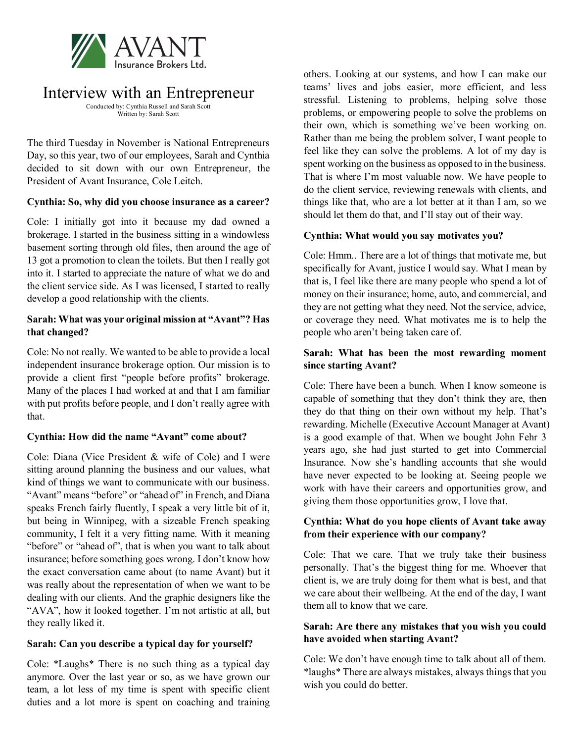

# Interview with an Entrepreneur

Conducted by: Cynthia Russell and Sarah Scott Written by: Sarah Scott

The third Tuesday in November is National Entrepreneurs Day, so this year, two of our employees, Sarah and Cynthia decided to sit down with our own Entrepreneur, the President of Avant Insurance, Cole Leitch.

# **Cynthia: So, why did you choose insurance as a career?**

Cole: I initially got into it because my dad owned a brokerage. I started in the business sitting in a windowless basement sorting through old files, then around the age of 13 got a promotion to clean the toilets. But then I really got into it. I started to appreciate the nature of what we do and the client service side. As I was licensed, I started to really develop a good relationship with the clients.

## **Sarah: What was your original mission at "Avant"? Has that changed?**

Cole: No not really. We wanted to be able to provide a local independent insurance brokerage option. Our mission is to provide a client first "people before profits" brokerage. Many of the places I had worked at and that I am familiar with put profits before people, and I don't really agree with that.

# **Cynthia: How did the name "Avant" come about?**

Cole: Diana (Vice President & wife of Cole) and I were sitting around planning the business and our values, what kind of things we want to communicate with our business. "Avant" means "before" or "ahead of" in French, and Diana speaks French fairly fluently, I speak a very little bit of it, but being in Winnipeg, with a sizeable French speaking community, I felt it a very fitting name. With it meaning "before" or "ahead of", that is when you want to talk about insurance; before something goes wrong. I don't know how the exact conversation came about (to name Avant) but it was really about the representation of when we want to be dealing with our clients. And the graphic designers like the "AVA", how it looked together. I'm not artistic at all, but they really liked it.

# **Sarah: Can you describe a typical day for yourself?**

Cole: \*Laughs\* There is no such thing as a typical day anymore. Over the last year or so, as we have grown our team, a lot less of my time is spent with specific client duties and a lot more is spent on coaching and training

others. Looking at our systems, and how I can make our teams' lives and jobs easier, more efficient, and less stressful. Listening to problems, helping solve those problems, or empowering people to solve the problems on their own, which is something we've been working on. Rather than me being the problem solver, I want people to feel like they can solve the problems. A lot of my day is spent working on the business as opposed to in the business. That is where I'm most valuable now. We have people to do the client service, reviewing renewals with clients, and things like that, who are a lot better at it than I am, so we should let them do that, and I'll stay out of their way.

## **Cynthia: What would you say motivates you?**

Cole: Hmm.. There are a lot of things that motivate me, but specifically for Avant, justice I would say. What I mean by that is, I feel like there are many people who spend a lot of money on their insurance; home, auto, and commercial, and they are not getting what they need. Not the service, advice, or coverage they need. What motivates me is to help the people who aren't being taken care of.

## **Sarah: What has been the most rewarding moment since starting Avant?**

Cole: There have been a bunch. When I know someone is capable of something that they don't think they are, then they do that thing on their own without my help. That's rewarding. Michelle (Executive Account Manager at Avant) is a good example of that. When we bought John Fehr 3 years ago, she had just started to get into Commercial Insurance. Now she's handling accounts that she would have never expected to be looking at. Seeing people we work with have their careers and opportunities grow, and giving them those opportunities grow, I love that.

# **Cynthia: What do you hope clients of Avant take away from their experience with our company?**

Cole: That we care. That we truly take their business personally. That's the biggest thing for me. Whoever that client is, we are truly doing for them what is best, and that we care about their wellbeing. At the end of the day, I want them all to know that we care.

# **Sarah: Are there any mistakes that you wish you could have avoided when starting Avant?**

Cole: We don't have enough time to talk about all of them. \*laughs\* There are always mistakes, always things that you wish you could do better.